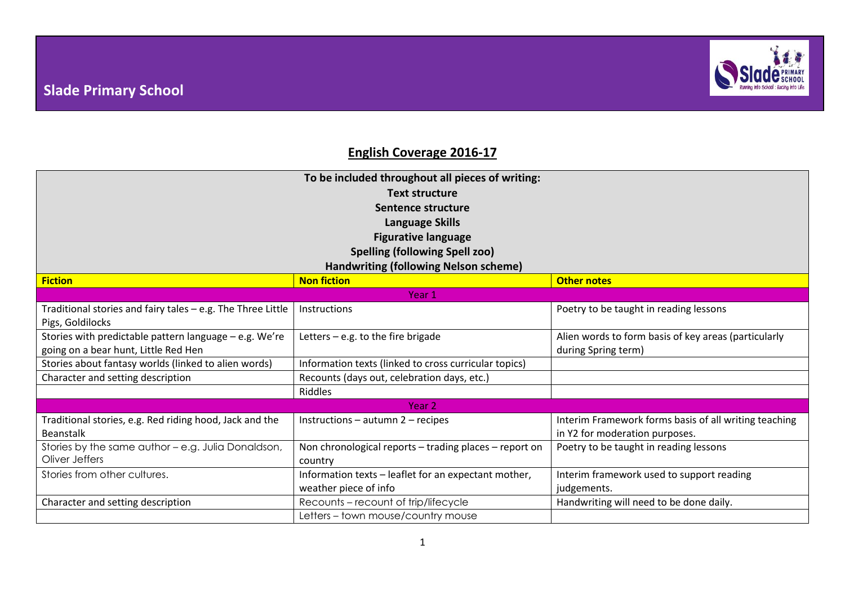

## **English Coverage 2016-17**

| To be included throughout all pieces of writing:<br><b>Text structure</b><br>Sentence structure<br><b>Language Skills</b><br><b>Figurative language</b><br><b>Spelling (following Spell zoo)</b><br><b>Handwriting (following Nelson scheme)</b> |                                                                               |                                                                                         |  |  |  |  |  |
|--------------------------------------------------------------------------------------------------------------------------------------------------------------------------------------------------------------------------------------------------|-------------------------------------------------------------------------------|-----------------------------------------------------------------------------------------|--|--|--|--|--|
| <b>Fiction</b>                                                                                                                                                                                                                                   | <b>Non fiction</b>                                                            | <b>Other notes</b>                                                                      |  |  |  |  |  |
| Year 1                                                                                                                                                                                                                                           |                                                                               |                                                                                         |  |  |  |  |  |
| Traditional stories and fairy tales - e.g. The Three Little<br>Pigs, Goldilocks                                                                                                                                                                  | Instructions                                                                  | Poetry to be taught in reading lessons                                                  |  |  |  |  |  |
| Stories with predictable pattern language - e.g. We're<br>going on a bear hunt, Little Red Hen                                                                                                                                                   | Letters $-$ e.g. to the fire brigade                                          | Alien words to form basis of key areas (particularly<br>during Spring term)             |  |  |  |  |  |
| Stories about fantasy worlds (linked to alien words)                                                                                                                                                                                             | Information texts (linked to cross curricular topics)                         |                                                                                         |  |  |  |  |  |
| Character and setting description                                                                                                                                                                                                                | Recounts (days out, celebration days, etc.)                                   |                                                                                         |  |  |  |  |  |
|                                                                                                                                                                                                                                                  | Riddles                                                                       |                                                                                         |  |  |  |  |  |
| Year 2                                                                                                                                                                                                                                           |                                                                               |                                                                                         |  |  |  |  |  |
| Traditional stories, e.g. Red riding hood, Jack and the<br><b>Beanstalk</b>                                                                                                                                                                      | Instructions - autumn 2 - recipes                                             | Interim Framework forms basis of all writing teaching<br>in Y2 for moderation purposes. |  |  |  |  |  |
| Stories by the same author - e.g. Julia Donaldson,<br>Oliver Jeffers                                                                                                                                                                             | Non chronological reports - trading places - report on<br>country             | Poetry to be taught in reading lessons                                                  |  |  |  |  |  |
| Stories from other cultures.                                                                                                                                                                                                                     | Information texts - leaflet for an expectant mother,<br>weather piece of info | Interim framework used to support reading<br>judgements.                                |  |  |  |  |  |
| Character and setting description                                                                                                                                                                                                                | Recounts - recount of trip/lifecycle                                          | Handwriting will need to be done daily.                                                 |  |  |  |  |  |
|                                                                                                                                                                                                                                                  | Letters - town mouse/country mouse                                            |                                                                                         |  |  |  |  |  |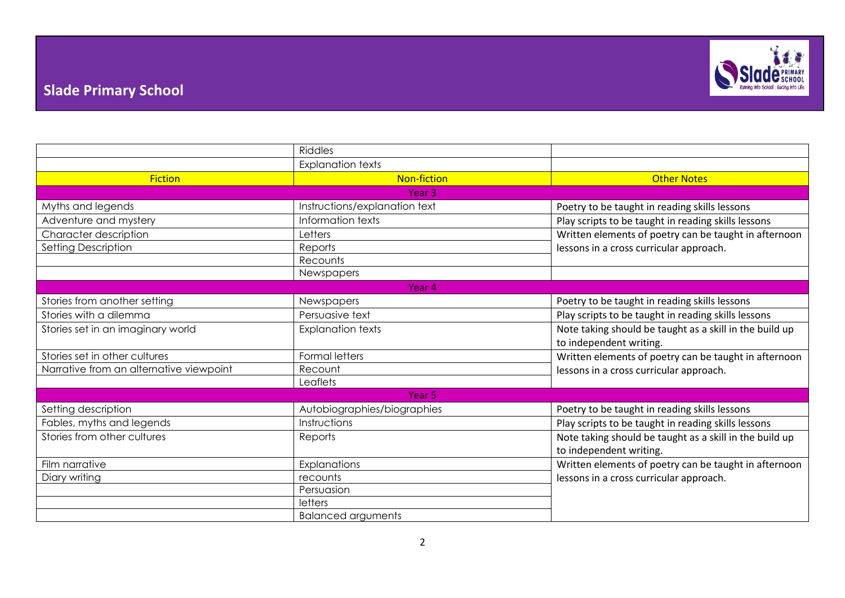

## **Slade Primary School**

|                                         | <b>Riddles</b>                |                                                                                                  |  |  |  |  |  |
|-----------------------------------------|-------------------------------|--------------------------------------------------------------------------------------------------|--|--|--|--|--|
|                                         | <b>Explanation texts</b>      |                                                                                                  |  |  |  |  |  |
| <b>Fiction</b>                          | <b>Non-fiction</b>            | <b>Other Notes</b>                                                                               |  |  |  |  |  |
| Year <sub>3</sub>                       |                               |                                                                                                  |  |  |  |  |  |
| Myths and legends                       | Instructions/explanation text | Poetry to be taught in reading skills lessons                                                    |  |  |  |  |  |
| Adventure and mystery                   | Information texts             | Play scripts to be taught in reading skills lessons                                              |  |  |  |  |  |
| Character description                   | Letters                       | Written elements of poetry can be taught in afternoon<br>lessons in a cross curricular approach. |  |  |  |  |  |
| Setting Description                     | Reports                       |                                                                                                  |  |  |  |  |  |
|                                         | Recounts                      |                                                                                                  |  |  |  |  |  |
|                                         | Newspapers                    |                                                                                                  |  |  |  |  |  |
| Year 4                                  |                               |                                                                                                  |  |  |  |  |  |
| Stories from another setting            | Newspapers                    | Poetry to be taught in reading skills lessons                                                    |  |  |  |  |  |
| Stories with a dilemma                  | Persuasive text               | Play scripts to be taught in reading skills lessons                                              |  |  |  |  |  |
| Stories set in an imaginary world       | <b>Explanation texts</b>      | Note taking should be taught as a skill in the build up                                          |  |  |  |  |  |
|                                         |                               | to independent writing.                                                                          |  |  |  |  |  |
| Stories set in other cultures           | <b>Formal letters</b>         | Written elements of poetry can be taught in afternoon<br>lessons in a cross curricular approach. |  |  |  |  |  |
| Narrative from an alternative viewpoint | Recount                       |                                                                                                  |  |  |  |  |  |
|                                         | Leaflets                      |                                                                                                  |  |  |  |  |  |
| Year <sub>5</sub>                       |                               |                                                                                                  |  |  |  |  |  |
| Setting description                     | Autobiographies/biographies   | Poetry to be taught in reading skills lessons                                                    |  |  |  |  |  |
| Fables, myths and legends               | Instructions                  | Play scripts to be taught in reading skills lessons                                              |  |  |  |  |  |
| Stories from other cultures             | Reports                       | Note taking should be taught as a skill in the build up                                          |  |  |  |  |  |
|                                         |                               | to independent writing.                                                                          |  |  |  |  |  |
| Film narrative                          | Explanations                  | Written elements of poetry can be taught in afternoon                                            |  |  |  |  |  |
| Diary writing                           | recounts                      | lessons in a cross curricular approach.                                                          |  |  |  |  |  |
|                                         | Persuasion                    |                                                                                                  |  |  |  |  |  |
|                                         | letters                       |                                                                                                  |  |  |  |  |  |
|                                         | <b>Balanced arguments</b>     |                                                                                                  |  |  |  |  |  |